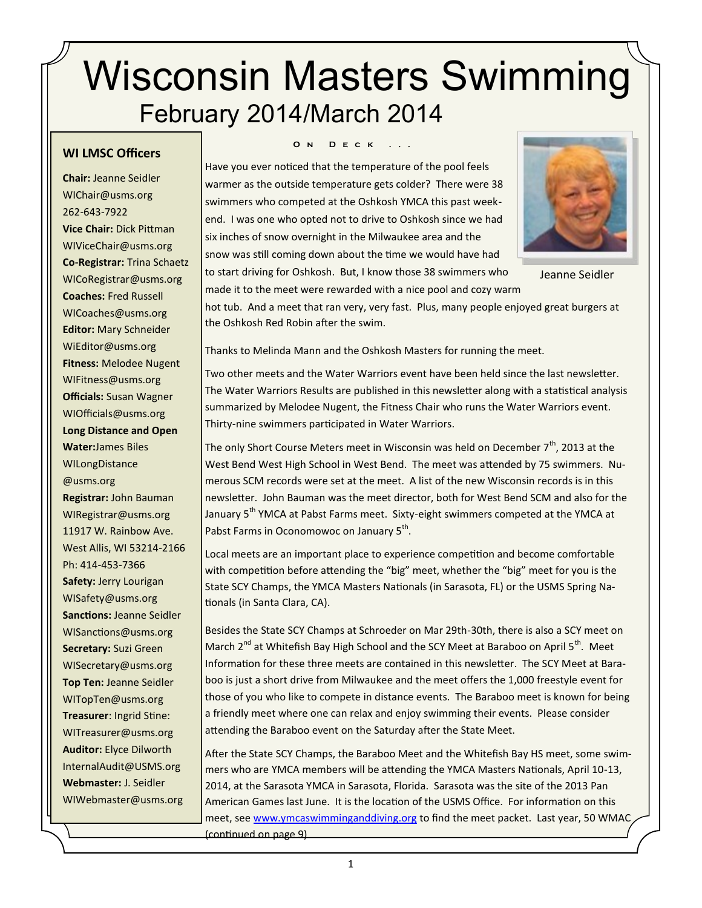# Wisconsin Masters Swimming February 2014/March 2014

#### **WI LMSC Officers**

**Chair:** Jeanne Seidler WIChair@usms.org 262-643-7922 **Vice Chair:** Dick Pittman WIViceChair@usms.org **Co-Registrar:** Trina Schaetz WICoRegistrar@usms.org **Coaches:** Fred Russell WICoaches@usms.org **Editor:** Mary Schneider WiEditor@usms.org **Fitness:** Melodee Nugent WIFitness@usms.org **Officials:** Susan Wagner WIOfficials@usms.org **Long Distance and Open Water:**James Biles WILongDistance @usms.org **Registrar:** John Bauman WIRegistrar@usms.org 11917 W. Rainbow Ave. West Allis, WI 53214-2166 Ph: 414-453-7366 **Safety:** Jerry Lourigan WISafety@usms.org **Sanctions:** Jeanne Seidler WISanctions@usms.org **Secretary:** Suzi Green WISecretary@usms.org **Top Ten:** Jeanne Seidler WITopTen@usms.org **Treasurer**: Ingrid Stine: WITreasurer@usms.org **Auditor:** Elyce Dilworth [InternalAudit@USMS.org](mailto:InternalAudit@USMS.org) **Webmaster:** J. Seidler WIWebmaster@usms.org

#### **O N D E C K**

Have you ever noticed that the temperature of the pool feels warmer as the outside temperature gets colder? There were 38 swimmers who competed at the Oshkosh YMCA this past weekend. I was one who opted not to drive to Oshkosh since we had six inches of snow overnight in the Milwaukee area and the snow was still coming down about the time we would have had to start driving for Oshkosh. But, I know those 38 swimmers who made it to the meet were rewarded with a nice pool and cozy warm



Jeanne Seidler

hot tub. And a meet that ran very, very fast. Plus, many people enjoyed great burgers at the Oshkosh Red Robin after the swim.

Thanks to Melinda Mann and the Oshkosh Masters for running the meet.

Two other meets and the Water Warriors event have been held since the last newsletter. The Water Warriors Results are published in this newsletter along with a statistical analysis summarized by Melodee Nugent, the Fitness Chair who runs the Water Warriors event. Thirty-nine swimmers participated in Water Warriors.

The only Short Course Meters meet in Wisconsin was held on December  $7<sup>th</sup>$ , 2013 at the West Bend West High School in West Bend. The meet was attended by 75 swimmers. Numerous SCM records were set at the meet. A list of the new Wisconsin records is in this newsletter. John Bauman was the meet director, both for West Bend SCM and also for the January 5<sup>th</sup> YMCA at Pabst Farms meet. Sixty-eight swimmers competed at the YMCA at Pabst Farms in Oconomowoc on January 5<sup>th</sup>.

Local meets are an important place to experience competition and become comfortable with competition before attending the "big" meet, whether the "big" meet for you is the State SCY Champs, the YMCA Masters Nationals (in Sarasota, FL) or the USMS Spring Nationals (in Santa Clara, CA).

Besides the State SCY Champs at Schroeder on Mar 29th-30th, there is also a SCY meet on March  $2^{nd}$  at Whitefish Bay High School and the SCY Meet at Baraboo on April  $5^{th}$ . Meet Information for these three meets are contained in this newsletter. The SCY Meet at Baraboo is just a short drive from Milwaukee and the meet offers the 1,000 freestyle event for those of you who like to compete in distance events. The Baraboo meet is known for being a friendly meet where one can relax and enjoy swimming their events. Please consider attending the Baraboo event on the Saturday after the State Meet.

After the State SCY Champs, the Baraboo Meet and the Whitefish Bay HS meet, some swimmers who are YMCA members will be attending the YMCA Masters Nationals, April 10-13, 2014, at the Sarasota YMCA in Sarasota, Florida. Sarasota was the site of the 2013 Pan American Games last June. It is the location of the USMS Office. For information on this meet, see [www.ymcaswimminganddiving.org](http://www.ymcaswimminganddiving.org) to find the meet packet. Last year, 50 WMAC, (continued on page 9)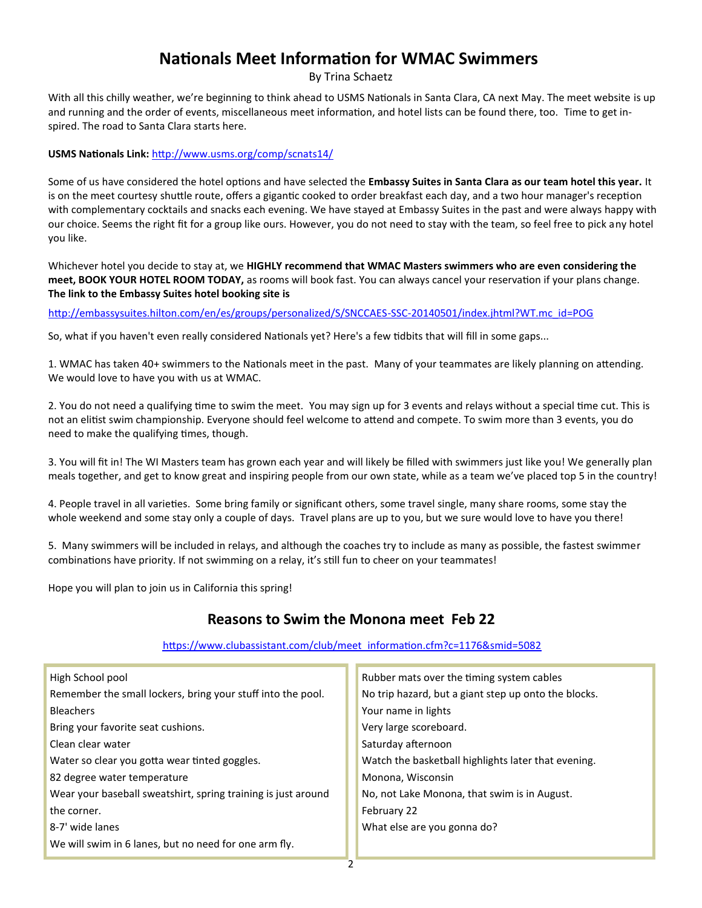# **Nationals Meet Information for WMAC Swimmers**

By Trina Schaetz

With all this chilly weather, we're beginning to think ahead to USMS Nationals in Santa Clara, CA next May. The meet website is up and running and the order of events, miscellaneous meet information, and hotel lists can be found there, too. Time to get inspired. The road to Santa Clara starts here.

**USMS Nationals Link:** <http://www.usms.org/comp/scnats14/>

Some of us have considered the hotel options and have selected the **Embassy Suites in Santa Clara as our team hotel this year.** It is on the meet courtesy shuttle route, offers a gigantic cooked to order breakfast each day, and a two hour manager's reception with complementary cocktails and snacks each evening. We have stayed at Embassy Suites in the past and were always happy with our choice. Seems the right fit for a group like ours. However, you do not need to stay with the team, so feel free to pick any hotel you like.

Whichever hotel you decide to stay at, we **HIGHLY recommend that WMAC Masters swimmers who are even considering the meet, BOOK YOUR HOTEL ROOM TODAY,** as rooms will book fast. You can always cancel your reservation if your plans change. **The link to the Embassy Suites hotel booking site is**

[h](http://embassysuites.hilton.com/en/es/groups/personalized/S/SNCCAES-SSC-20140501/index.jhtml?WT.mc_id=POG)ttp://embassysuites.hilton.com/en/es/groups/personalized/S/SNCCAES-SSC-20140501/index.jhtml?WT.mc\_id=POG

So, what if you haven't even really considered Nationals yet? Here's a few tidbits that will fill in some gaps...

1. WMAC has taken 40+ swimmers to the Nationals meet in the past. Many of your teammates are likely planning on attending. We would love to have you with us at WMAC.

2. You do not need a qualifying time to swim the meet. You may sign up for 3 events and relays without a special time cut. This is not an elitist swim championship. Everyone should feel welcome to attend and compete. To swim more than 3 events, you do need to make the qualifying times, though.

3. You will fit in! The WI Masters team has grown each year and will likely be filled with swimmers just like you! We generally plan meals together, and get to know great and inspiring people from our own state, while as a team we've placed top 5 in the country!

4. People travel in all varieties. Some bring family or significant others, some travel single, many share rooms, some stay the whole weekend and some stay only a couple of days. Travel plans are up to you, but we sure would love to have you there!

5. Many swimmers will be included in relays, and although the coaches try to include as many as possible, the fastest swimmer combinations have priority. If not swimming on a relay, it's still fun to cheer on your teammates!

Hope you will plan to join us in California this spring!

# **Reasons to Swim the Monona meet Feb 22**

[https://www.clubassistant.com/club/meet\\_information.cfm?c=1176&smid=5082](https://www.clubassistant.com/club/meet_information.cfm?c=1176&smid=5082)

| Rubber mats over the timing system cables            |
|------------------------------------------------------|
| No trip hazard, but a giant step up onto the blocks. |
| Your name in lights                                  |
| Very large scoreboard.                               |
| Saturday afternoon                                   |
| Watch the basketball highlights later that evening.  |
| Monona, Wisconsin                                    |
| No, not Lake Monona, that swim is in August.         |
| February 22                                          |
| What else are you gonna do?                          |
|                                                      |
|                                                      |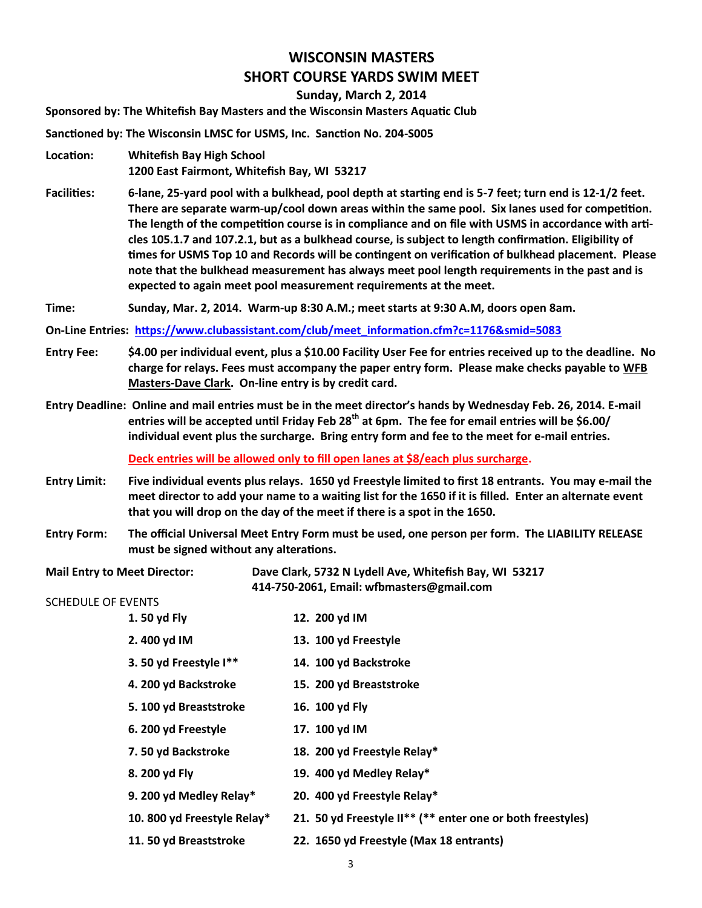# **WISCONSIN MASTERS SHORT COURSE YARDS SWIM MEET**

**Sunday, March 2, 2014**

**Sponsored by: The Whitefish Bay Masters and the Wisconsin Masters Aquatic Club**

**Sanctioned by: The Wisconsin LMSC for USMS, Inc. Sanction No. 204-S005**

- **Location: Whitefish Bay High School 1200 East Fairmont, Whitefish Bay, WI 53217**
- **Facilities: 6-lane, 25-yard pool with a bulkhead, pool depth at starting end is 5-7 feet; turn end is 12-1/2 feet. There are separate warm-up/cool down areas within the same pool. Six lanes used for competition. The length of the competition course is in compliance and on file with USMS in accordance with articles 105.1.7 and 107.2.1, but as a bulkhead course, is subject to length confirmation. Eligibility of times for USMS Top 10 and Records will be contingent on verification of bulkhead placement. Please note that the bulkhead measurement has always meet pool length requirements in the past and is expected to again meet pool measurement requirements at the meet.**
- **Time: Sunday, Mar. 2, 2014. Warm-up 8:30 A.M.; meet starts at 9:30 A.M, doors open 8am.**
- **On-Line Entries: [https://www.clubassistant.com/club/meet\\_information.cfm?c=1176&smid=5083](https://www.clubassistant.com/club/meet_information.cfm?c=1176&smid=5083)**
- **Entry Fee: \$4.00 per individual event, plus a \$10.00 Facility User Fee for entries received up to the deadline. No charge for relays. Fees must accompany the paper entry form. Please make checks payable to WFB Masters-Dave Clark. On-line entry is by credit card.**
- **Entry Deadline: Online and mail entries must be in the meet director's hands by Wednesday Feb. 26, 2014. E-mail entries will be accepted until Friday Feb 28th at 6pm. The fee for email entries will be \$6.00/ individual event plus the surcharge. Bring entry form and fee to the meet for e-mail entries.**

**Deck entries will be allowed only to fill open lanes at \$8/each plus surcharge.** 

- **Entry Limit: Five individual events plus relays. 1650 yd Freestyle limited to first 18 entrants. You may e-mail the meet director to add your name to a waiting list for the 1650 if it is filled. Enter an alternate event that you will drop on the day of the meet if there is a spot in the 1650.**
- **Entry Form: The official Universal Meet Entry Form must be used, one person per form. The LIABILITY RELEASE must be signed without any alterations.**

**Mail Entry to Meet Director: Dave Clark, 5732 N Lydell Ave, Whitefish Bay, WI 53217 414-750-2061, Email: wfbmasters@gmail.com**

#### SCHEDULE OF EVENTS

**1. 50 yd Fly 12. 200 yd IM 2. 400 yd IM 13. 100 yd Freestyle 3. 50 yd Freestyle I\*\* 14. 100 yd Backstroke 4. 200 yd Backstroke 15. 200 yd Breaststroke 5. 100 yd Breaststroke 16. 100 yd Fly 6. 200 yd Freestyle 17. 100 yd IM 7. 50 yd Backstroke 18. 200 yd Freestyle Relay\* 8. 200 yd Fly 19. 400 yd Medley Relay\* 9. 200 yd Medley Relay\* 20. 400 yd Freestyle Relay\* 10. 800 yd Freestyle Relay\* 21. 50 yd Freestyle II\*\* (\*\* enter one or both freestyles) 11. 50 yd Breaststroke 22. 1650 yd Freestyle (Max 18 entrants)**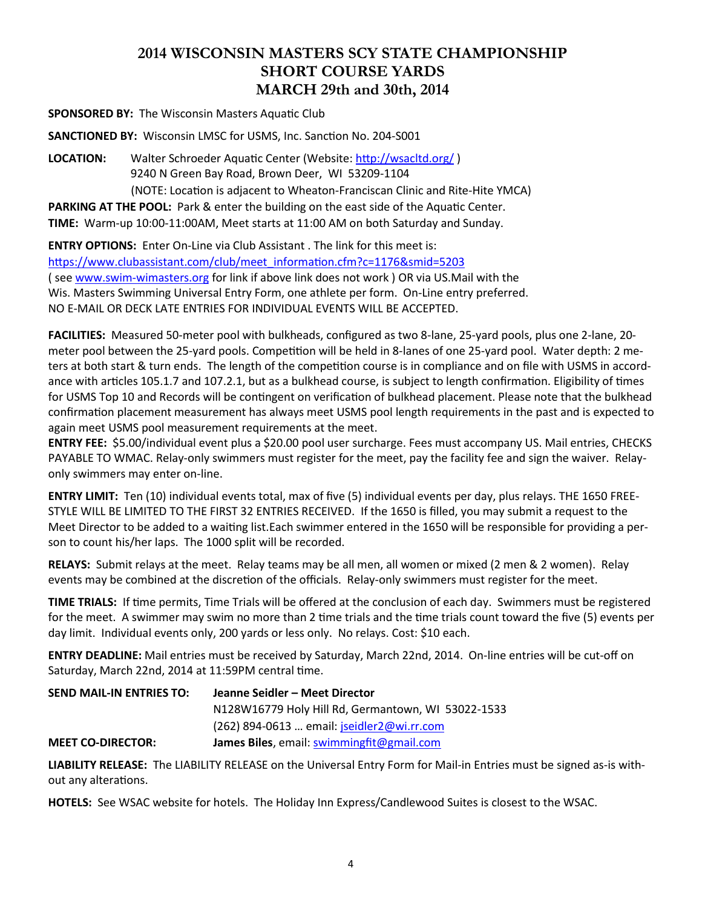# **2014 WISCONSIN MASTERS SCY STATE CHAMPIONSHIP SHORT COURSE YARDS MARCH 29th and 30th, 2014**

**SPONSORED BY:** The Wisconsin Masters Aquatic Club

**SANCTIONED BY:** Wisconsin LMSC for USMS, Inc. Sanction No. 204-S001

**LOCATION:** Walter Schroeder Aquatic Center (Website:<http://wsacltd.org/> ) 9240 N Green Bay Road, Brown Deer, WI 53209-1104 (NOTE: Location is adjacent to Wheaton-Franciscan Clinic and Rite-Hite YMCA)

**PARKING AT THE POOL:** Park & enter the building on the east side of the Aquatic Center.

**TIME:** Warm-up 10:00-11:00AM, Meet starts at 11:00 AM on both Saturday and Sunday.

**ENTRY OPTIONS:** Enter On-Line via Club Assistant . The link for this meet is: [https://www.clubassistant.com/club/meet\\_information.cfm?c=1176&smid=5203](https://www.clubassistant.com/club/meet_information.cfm?c=1176&smid=5203)  ( see www.swim-[wimasters.org](http://www.swim-wimasters.org/) for link if above link does not work ) OR via US.Mail with the Wis. Masters Swimming Universal Entry Form, one athlete per form. On-Line entry preferred. NO E-MAIL OR DECK LATE ENTRIES FOR INDIVIDUAL EVENTS WILL BE ACCEPTED.

**FACILITIES:** Measured 50-meter pool with bulkheads, configured as two 8-lane, 25-yard pools, plus one 2-lane, 20 meter pool between the 25-yard pools. Competition will be held in 8-lanes of one 25-yard pool. Water depth: 2 meters at both start & turn ends. The length of the competition course is in compliance and on file with USMS in accordance with articles 105.1.7 and 107.2.1, but as a bulkhead course, is subject to length confirmation. Eligibility of times for USMS Top 10 and Records will be contingent on verification of bulkhead placement. Please note that the bulkhead confirmation placement measurement has always meet USMS pool length requirements in the past and is expected to again meet USMS pool measurement requirements at the meet.

**ENTRY FEE:** \$5.00/individual event plus a \$20.00 pool user surcharge. Fees must accompany US. Mail entries, CHECKS PAYABLE TO WMAC. Relay-only swimmers must register for the meet, pay the facility fee and sign the waiver. Relayonly swimmers may enter on-line.

**ENTRY LIMIT:** Ten (10) individual events total, max of five (5) individual events per day, plus relays. THE 1650 FREE-STYLE WILL BE LIMITED TO THE FIRST 32 ENTRIES RECEIVED. If the 1650 is filled, you may submit a request to the Meet Director to be added to a waiting list.Each swimmer entered in the 1650 will be responsible for providing a person to count his/her laps. The 1000 split will be recorded.

**RELAYS:** Submit relays at the meet. Relay teams may be all men, all women or mixed (2 men & 2 women). Relay events may be combined at the discretion of the officials. Relay-only swimmers must register for the meet.

**TIME TRIALS:** If time permits, Time Trials will be offered at the conclusion of each day. Swimmers must be registered for the meet. A swimmer may swim no more than 2 time trials and the time trials count toward the five (5) events per day limit. Individual events only, 200 yards or less only. No relays. Cost: \$10 each.

**ENTRY DEADLINE:** Mail entries must be received by Saturday, March 22nd, 2014. On-line entries will be cut-off on Saturday, March 22nd, 2014 at 11:59PM central time.

| <b>SEND MAIL-IN ENTRIES TO:</b> | Jeanne Seidler - Meet Director                     |
|---------------------------------|----------------------------------------------------|
|                                 | N128W16779 Holy Hill Rd, Germantown, WI 53022-1533 |
|                                 | $(262)$ 894-0613  email: jseidler2@wi.rr.com       |
| <b>MEET CO-DIRECTOR:</b>        | James Biles, email: swimmingfit@gmail.com          |

**LIABILITY RELEASE:** The LIABILITY RELEASE on the Universal Entry Form for Mail-in Entries must be signed as-is without any alterations.

**HOTELS:** See WSAC website for hotels. The Holiday Inn Express/Candlewood Suites is closest to the WSAC.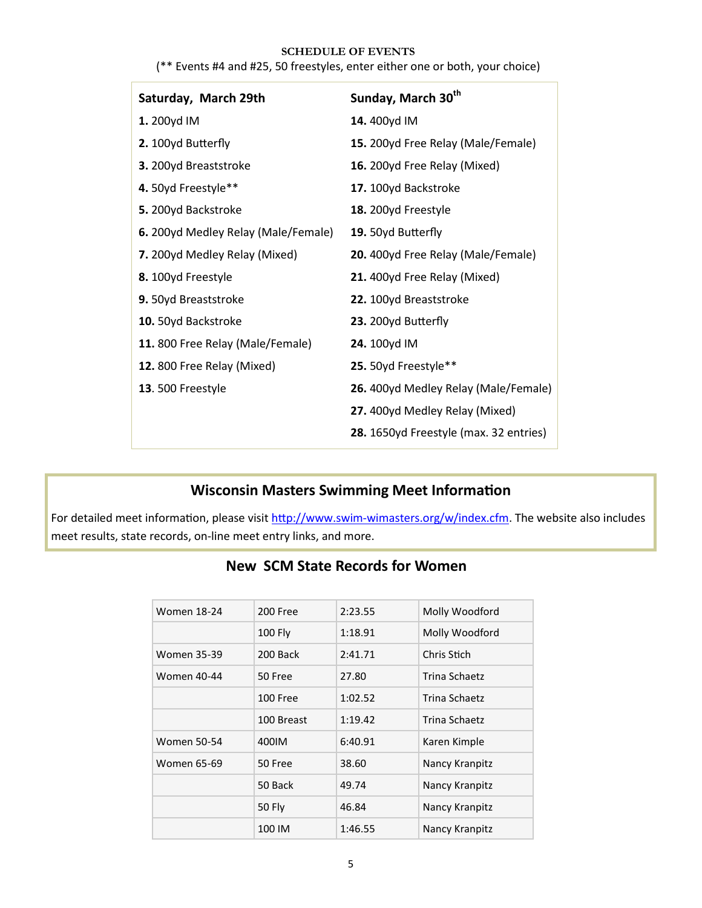#### **SCHEDULE OF EVENTS**

| Saturday, March 29th                | Sunday, March 30 <sup>th</sup>         |
|-------------------------------------|----------------------------------------|
| 1. 200yd IM                         | 14.400yd IM                            |
| 2. 100yd Butterfly                  | 15. 200yd Free Relay (Male/Female)     |
| 3. 200yd Breaststroke               | 16. 200yd Free Relay (Mixed)           |
| 4. 50yd Freestyle**                 | 17. 100yd Backstroke                   |
| 5. 200yd Backstroke                 | 18. 200yd Freestyle                    |
| 6. 200yd Medley Relay (Male/Female) | 19. 50yd Butterfly                     |
| 7. 200yd Medley Relay (Mixed)       | 20. 400yd Free Relay (Male/Female)     |
| 8. 100yd Freestyle                  | 21. 400yd Free Relay (Mixed)           |
| 9. 50yd Breaststroke                | 22. 100yd Breaststroke                 |
| 10. 50yd Backstroke                 | 23. 200yd Butterfly                    |
| 11.800 Free Relay (Male/Female)     | 24. 100yd IM                           |
| 12.800 Free Relay (Mixed)           | 25. 50yd Freestyle**                   |
| 13.500 Freestyle                    | 26. 400yd Medley Relay (Male/Female)   |
|                                     | 27. 400yd Medley Relay (Mixed)         |
|                                     | 28. 1650yd Freestyle (max. 32 entries) |

#### (\*\* Events #4 and #25, 50 freestyles, enter either one or both, your choice)

## **Wisconsin Masters Swimming Meet Information**

For detailed meet information, please visit http://www.swim-[wimasters.org/w/index.cfm.](http://www.swim-wimasters.org/w/index.cfm) The website also includes meet results, state records, on-line meet entry links, and more.

# **New SCM State Records for Women**

| <b>Women 18-24</b> | 200 Free        | 2:23.55 | Molly Woodford |
|--------------------|-----------------|---------|----------------|
|                    | 100 Fly         | 1:18.91 | Molly Woodford |
| <b>Women 35-39</b> | 200 Back        | 2:41.71 | Chris Stich    |
| Women 40-44        | 50 Free         | 27.80   | Trina Schaetz  |
|                    | <b>100 Free</b> | 1:02.52 | Trina Schaetz  |
|                    | 100 Breast      | 1:19.42 | Trina Schaetz  |
| <b>Women 50-54</b> | 400IM           | 6:40.91 | Karen Kimple   |
| Women 65-69        | 50 Free         | 38.60   | Nancy Kranpitz |
|                    | 50 Back         | 49.74   | Nancy Kranpitz |
|                    | 50 Fly          | 46.84   | Nancy Kranpitz |
|                    | 100 IM          | 1:46.55 | Nancy Kranpitz |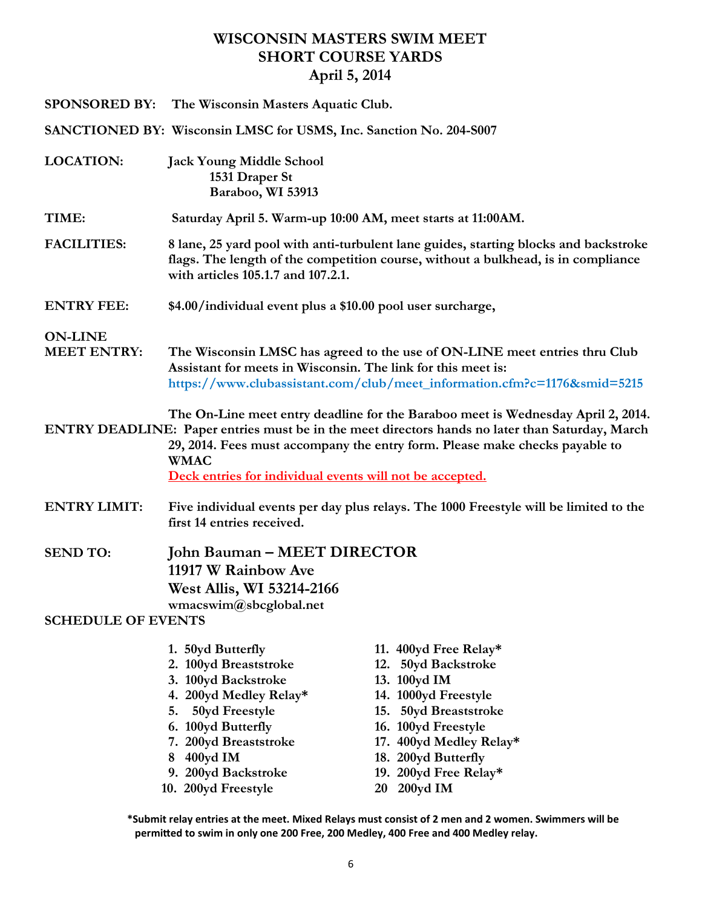# **WISCONSIN MASTERS SWIM MEET SHORT COURSE YARDS April 5, 2014**

|                                                                                                                                                                                                                                                                                                                                               | SPONSORED BY: The Wisconsin Masters Aquatic Club.                                                                                                                                                                             |                                                                                                                                                                                                                                  |  |  |
|-----------------------------------------------------------------------------------------------------------------------------------------------------------------------------------------------------------------------------------------------------------------------------------------------------------------------------------------------|-------------------------------------------------------------------------------------------------------------------------------------------------------------------------------------------------------------------------------|----------------------------------------------------------------------------------------------------------------------------------------------------------------------------------------------------------------------------------|--|--|
|                                                                                                                                                                                                                                                                                                                                               | SANCTIONED BY: Wisconsin LMSC for USMS, Inc. Sanction No. 204-S007                                                                                                                                                            |                                                                                                                                                                                                                                  |  |  |
| <b>LOCATION:</b>                                                                                                                                                                                                                                                                                                                              | <b>Jack Young Middle School</b><br>1531 Draper St<br>Baraboo, WI 53913                                                                                                                                                        |                                                                                                                                                                                                                                  |  |  |
| TIME:                                                                                                                                                                                                                                                                                                                                         | Saturday April 5. Warm-up 10:00 AM, meet starts at 11:00 AM.                                                                                                                                                                  |                                                                                                                                                                                                                                  |  |  |
| <b>FACILITIES:</b>                                                                                                                                                                                                                                                                                                                            | 8 lane, 25 yard pool with anti-turbulent lane guides, starting blocks and backstroke<br>flags. The length of the competition course, without a bulkhead, is in compliance<br>with articles 105.1.7 and 107.2.1.               |                                                                                                                                                                                                                                  |  |  |
| <b>ENTRY FEE:</b>                                                                                                                                                                                                                                                                                                                             | \$4.00/individual event plus a \$10.00 pool user surcharge,                                                                                                                                                                   |                                                                                                                                                                                                                                  |  |  |
| <b>ON-LINE</b><br><b>MEET ENTRY:</b>                                                                                                                                                                                                                                                                                                          | The Wisconsin LMSC has agreed to the use of ON-LINE meet entries thru Club<br>Assistant for meets in Wisconsin. The link for this meet is:<br>https://www.clubassistant.com/club/meet_information.cfm?c=1176∣=5215            |                                                                                                                                                                                                                                  |  |  |
| The On-Line meet entry deadline for the Baraboo meet is Wednesday April 2, 2014.<br>ENTRY DEADLINE: Paper entries must be in the meet directors hands no later than Saturday, March<br>29, 2014. Fees must accompany the entry form. Please make checks payable to<br><b>WMAC</b><br>Deck entries for individual events will not be accepted. |                                                                                                                                                                                                                               |                                                                                                                                                                                                                                  |  |  |
| <b>ENTRY LIMIT:</b>                                                                                                                                                                                                                                                                                                                           | Five individual events per day plus relays. The 1000 Freestyle will be limited to the<br>first 14 entries received.                                                                                                           |                                                                                                                                                                                                                                  |  |  |
| <b>SEND TO:</b><br><b>SCHEDULE OF EVENTS</b>                                                                                                                                                                                                                                                                                                  | John Bauman – MEET DIRECTOR<br>11917 W Rainbow Ave<br><b>West Allis, WI 53214-2166</b><br>wmacswim@sbcglobal.net                                                                                                              |                                                                                                                                                                                                                                  |  |  |
|                                                                                                                                                                                                                                                                                                                                               | 1. 50yd Butterfly<br>2. 100yd Breaststroke<br>3. 100yd Backstroke<br>4. 200yd Medley Relay*<br>50yd Freestyle<br>5.<br>6. 100yd Butterfly<br>7. 200yd Breaststroke<br>8 400yd IM<br>9. 200yd Backstroke<br>10 200vd Freestyle | 11. 400yd Free Relay*<br>12. 50yd Backstroke<br>13. 100yd IM<br>14. 1000yd Freestyle<br>15. 50yd Breaststroke<br>16. 100yd Freestyle<br>17. 400yd Medley Relay*<br>18. 200yd Butterfly<br>19. 200yd Free Relay*<br>$20-200yd$ IM |  |  |

- 
- **10. 200yd Freestyle 20 200yd IM**

**\*Submit relay entries at the meet. Mixed Relays must consist of 2 men and 2 women. Swimmers will be permitted to swim in only one 200 Free, 200 Medley, 400 Free and 400 Medley relay.**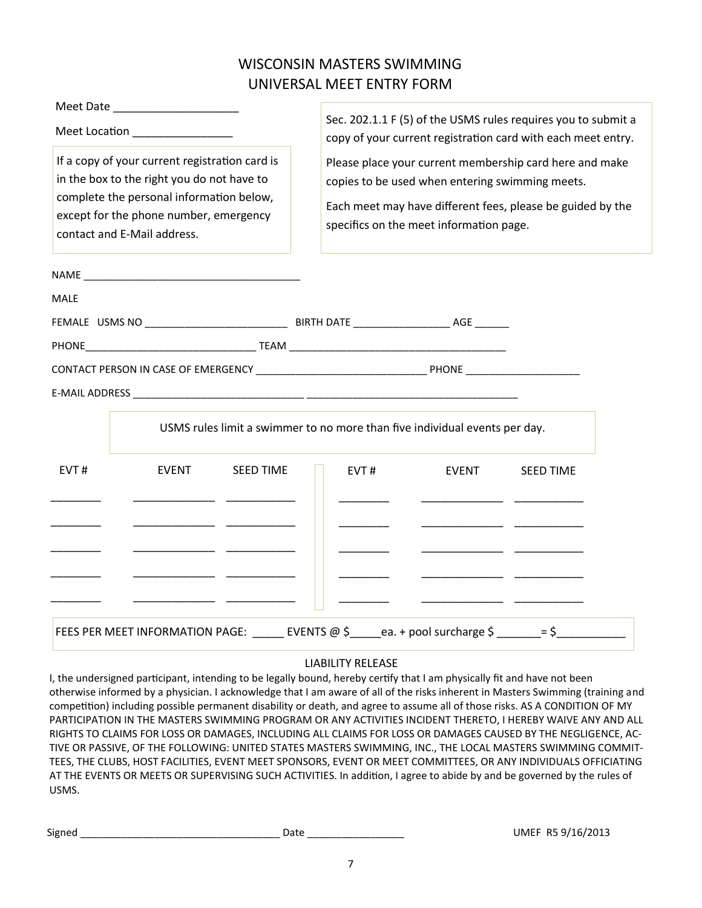# WISCONSIN MASTERS SWIMMING UNIVERSAL MEET ENTRY FORM

| Meet Date                                                                                                                                                                                                         |                                                                                                                                                                                                                     |  |  |
|-------------------------------------------------------------------------------------------------------------------------------------------------------------------------------------------------------------------|---------------------------------------------------------------------------------------------------------------------------------------------------------------------------------------------------------------------|--|--|
| Meet Location _______________                                                                                                                                                                                     | Sec. 202.1.1 F (5) of the USMS rules requires you to submit a<br>copy of your current registration card with each meet entry.                                                                                       |  |  |
| If a copy of your current registration card is<br>in the box to the right you do not have to<br>complete the personal information below,<br>except for the phone number, emergency<br>contact and E-Mail address. | Please place your current membership card here and make<br>copies to be used when entering swimming meets.<br>Each meet may have different fees, please be guided by the<br>specifics on the meet information page. |  |  |
|                                                                                                                                                                                                                   |                                                                                                                                                                                                                     |  |  |
| <b>MALE</b>                                                                                                                                                                                                       |                                                                                                                                                                                                                     |  |  |
|                                                                                                                                                                                                                   |                                                                                                                                                                                                                     |  |  |
|                                                                                                                                                                                                                   |                                                                                                                                                                                                                     |  |  |
|                                                                                                                                                                                                                   |                                                                                                                                                                                                                     |  |  |
|                                                                                                                                                                                                                   |                                                                                                                                                                                                                     |  |  |
|                                                                                                                                                                                                                   | USMS rules limit a swimmer to no more than five individual events per day.                                                                                                                                          |  |  |
| EVT#<br><b>SEED TIME</b><br><b>EVENT</b>                                                                                                                                                                          | EVT#<br>EVENT<br><b>SEED TIME</b>                                                                                                                                                                                   |  |  |
|                                                                                                                                                                                                                   |                                                                                                                                                                                                                     |  |  |
|                                                                                                                                                                                                                   |                                                                                                                                                                                                                     |  |  |
|                                                                                                                                                                                                                   |                                                                                                                                                                                                                     |  |  |
|                                                                                                                                                                                                                   | FEES PER MEET INFORMATION PAGE: ______ EVENTS @ \$_____ea. + pool surcharge \$ ______= \$__________                                                                                                                 |  |  |

#### LIABILITY RELEASE

I, the undersigned participant, intending to be legally bound, hereby certify that I am physically fit and have not been otherwise informed by a physician. I acknowledge that I am aware of all of the risks inherent in Masters Swimming (training and competition) including possible permanent disability or death, and agree to assume all of those risks. AS A CONDITION OF MY PARTICIPATION IN THE MASTERS SWIMMING PROGRAM OR ANY ACTIVITIES INCIDENT THERETO, I HEREBY WAIVE ANY AND ALL RIGHTS TO CLAIMS FOR LOSS OR DAMAGES, INCLUDING ALL CLAIMS FOR LOSS OR DAMAGES CAUSED BY THE NEGLIGENCE, AC-TIVE OR PASSIVE, OF THE FOLLOWING: UNITED STATES MASTERS SWIMMING, INC., THE LOCAL MASTERS SWIMMING COMMIT-TEES, THE CLUBS, HOST FACILITIES, EVENT MEET SPONSORS, EVENT OR MEET COMMITTEES, OR ANY INDIVIDUALS OFFICIATING AT THE EVENTS OR MEETS OR SUPERVISING SUCH ACTIVITIES. In addition, I agree to abide by and be governed by the rules of USMS.

| Signed |  |  |  |
|--------|--|--|--|
|        |  |  |  |

Signed \_\_\_\_\_\_\_\_\_\_\_\_\_\_\_\_\_\_\_\_\_\_\_\_\_\_\_\_\_\_\_\_\_\_\_ Date \_\_\_\_\_\_\_\_\_\_\_\_\_\_\_\_\_ UMEF R5 9/16/2013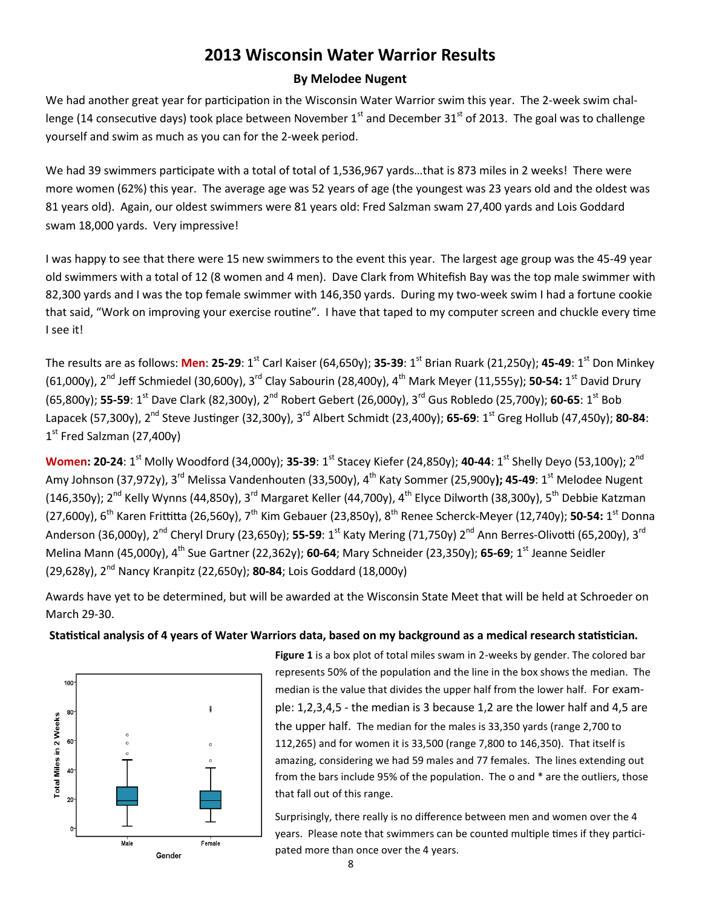# **2013 Wisconsin Water Warrior Results**

#### **By Melodee Nugent**

We had another great year for participation in the Wisconsin Water Warrior swim this year. The 2-week swim challenge (14 consecutive days) took place between November  $1<sup>st</sup>$  and December 31 $<sup>st</sup>$  of 2013. The goal was to challenge</sup> yourself and swim as much as you can for the 2-week period.

We had 39 swimmers participate with a total of total of 1,536,967 yards…that is 873 miles in 2 weeks! There were more women (62%) this year. The average age was 52 years of age (the youngest was 23 years old and the oldest was 81 years old). Again, our oldest swimmers were 81 years old: Fred Salzman swam 27,400 yards and Lois Goddard swam 18,000 yards. Very impressive!

I was happy to see that there were 15 new swimmers to the event this year. The largest age group was the 45-49 year old swimmers with a total of 12 (8 women and 4 men). Dave Clark from Whitefish Bay was the top male swimmer with 82,300 yards and I was the top female swimmer with 146,350 yards. During my two-week swim I had a fortune cookie that said, "Work on improving your exercise routine". I have that taped to my computer screen and chuckle every time I see it!

The results are as follows: **Men**: **25-29**: 1st Carl Kaiser (64,650y); **35-39**: 1st Brian Ruark (21,250y); **45-49**: 1st Don Minkey (61,000y), 2nd Jeff Schmiedel (30,600y), 3rd Clay Sabourin (28,400y), 4th Mark Meyer (11,555y); **50-54:** 1 st David Drury (65,800y); **55-59**: 1st Dave Clark (82,300y), 2nd Robert Gebert (26,000y), 3rd Gus Robledo (25,700y); **60-65**: 1st Bob Lapacek (57,300y), 2nd Steve Justinger (32,300y), 3rd Albert Schmidt (23,400y); **65-69**: 1st Greg Hollub (47,450y); **80-84**: 1st Fred Salzman (27,400y)

**Women: 20-24**: 1st Molly Woodford (34,000y); **35-39**: 1st Stacey Kiefer (24,850y); **40-44**: 1st Shelly Deyo (53,100y); 2nd Amy Johnson (37,972y), 3rd Melissa Vandenhouten (33,500y), 4th Katy Sommer (25,900y**); 45-49**: 1st Melodee Nugent (146,350y); 2<sup>nd</sup> Kelly Wynns (44,850y), 3<sup>rd</sup> Margaret Keller (44,700y), 4<sup>th</sup> Elyce Dilworth (38,300y), 5<sup>th</sup> Debbie Katzman (27,600y), 6<sup>th</sup> Karen Frittitta (26,560y), 7<sup>th</sup> Kim Gebauer (23,850y), 8<sup>th</sup> Renee Scherck-Meyer (12,740y); **50-54:** 1<sup>st</sup> Donna Anderson (36,000y), 2nd Cheryl Drury (23,650y); **55-59**: 1st Katy Mering (71,750y) 2nd Ann Berres-Olivotti (65,200y), 3rd Melina Mann (45,000y), 4th Sue Gartner (22,362y); **60-64**; Mary Schneider (23,350y); **65-69**; 1st Jeanne Seidler (29,628y), 2nd Nancy Kranpitz (22,650y); **80-84**; Lois Goddard (18,000y)

Awards have yet to be determined, but will be awarded at the Wisconsin State Meet that will be held at Schroeder on March 29-30.

#### **Statistical analysis of 4 years of Water Warriors data, based on my background as a medical research statistician.**



**Figure 1** is a box plot of total miles swam in 2-weeks by gender. The colored bar represents 50% of the population and the line in the box shows the median. The median is the value that divides the upper half from the lower half. For example: 1,2,3,4,5 - the median is 3 because 1,2 are the lower half and 4,5 are the upper half. The median for the males is 33,350 yards (range 2,700 to 112,265) and for women it is 33,500 (range 7,800 to 146,350). That itself is amazing, considering we had 59 males and 77 females. The lines extending out from the bars include 95% of the population. The o and \* are the outliers, those that fall out of this range.

Surprisingly, there really is no difference between men and women over the 4 years. Please note that swimmers can be counted multiple times if they participated more than once over the 4 years.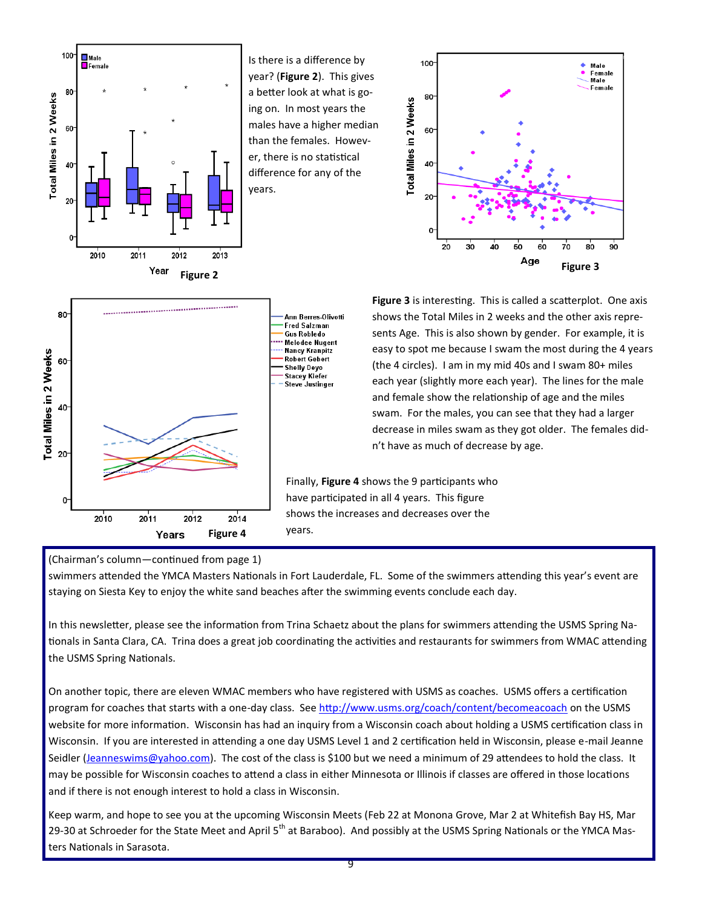

Is there is a difference by year? (**Figure 2**). This gives a better look at what is going on. In most years the males have a higher median than the females. However, there is no statistical difference for any of the years.





**Figure 3** is interesting. This is called a scatterplot. One axis shows the Total Miles in 2 weeks and the other axis represents Age. This is also shown by gender. For example, it is easy to spot me because I swam the most during the 4 years (the 4 circles). I am in my mid 40s and I swam 80+ miles each year (slightly more each year). The lines for the male and female show the relationship of age and the miles swam. For the males, you can see that they had a larger decrease in miles swam as they got older. The females didn't have as much of decrease by age.

Finally, **Figure 4** shows the 9 participants who have participated in all 4 years. This figure shows the increases and decreases over the

#### (Chairman's column—continued from page 1)

swimmers attended the YMCA Masters Nationals in Fort Lauderdale, FL. Some of the swimmers attending this year's event are staying on Siesta Key to enjoy the white sand beaches after the swimming events conclude each day.

In this newsletter, please see the information from Trina Schaetz about the plans for swimmers attending the USMS Spring Nationals in Santa Clara, CA. Trina does a great job coordinating the activities and restaurants for swimmers from WMAC attending the USMS Spring Nationals.

On another topic, there are eleven WMAC members who have registered with USMS as coaches. USMS offers a certification program for coaches that starts with a one-day class. See<http://www.usms.org/coach/content/becomeacoach> on the USMS website for more information. Wisconsin has had an inquiry from a Wisconsin coach about holding a USMS certification class in Wisconsin. If you are interested in attending a one day USMS Level 1 and 2 certification held in Wisconsin, please e-mail Jeanne Seidler ([Jeanneswims@yahoo.com\)](mailto:Jeanneswims@yahoo.com). The cost of the class is \$100 but we need a minimum of 29 attendees to hold the class. It may be possible for Wisconsin coaches to attend a class in either Minnesota or Illinois if classes are offered in those locations and if there is not enough interest to hold a class in Wisconsin.

Keep warm, and hope to see you at the upcoming Wisconsin Meets (Feb 22 at Monona Grove, Mar 2 at Whitefish Bay HS, Mar 29-30 at Schroeder for the State Meet and April 5<sup>th</sup> at Baraboo). And possibly at the USMS Spring Nationals or the YMCA Masters Nationals in Sarasota.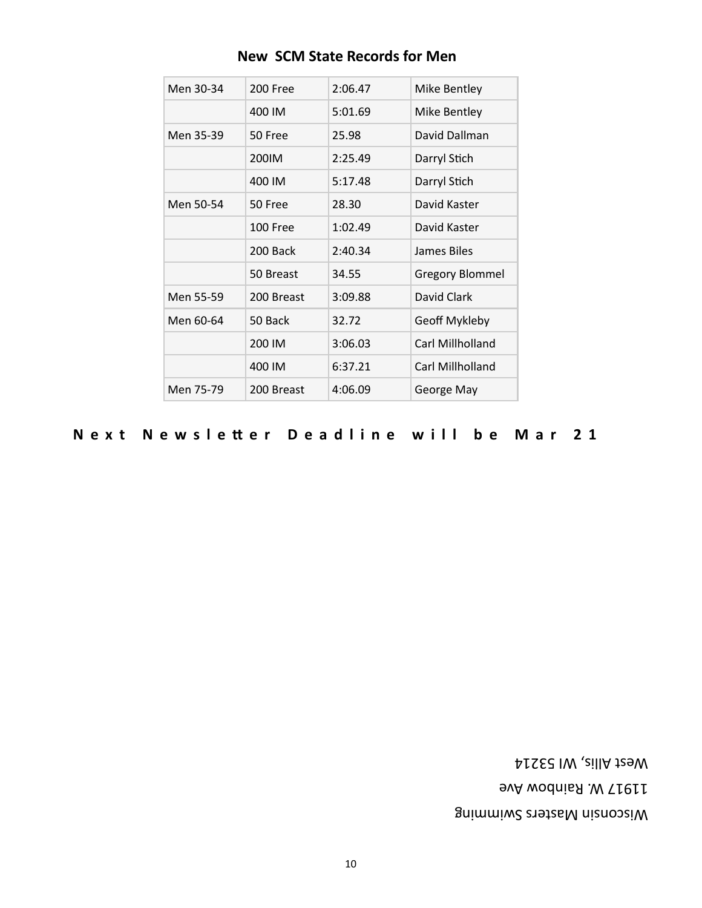Wisconsin Masters Swimming 11917 W. Rainbow Ave West Allis, WI 53214

#### **Next Newsletter Deadline will be Mar 21**

| Men 30-34 | 200 Free   | 2:06.47 | Mike Bentley           |
|-----------|------------|---------|------------------------|
|           | 400 IM     | 5:01.69 | Mike Bentley           |
| Men 35-39 | 50 Free    | 25.98   | David Dallman          |
|           | 200IM      | 2:25.49 | Darryl Stich           |
|           | 400 IM     | 5:17.48 | Darryl Stich           |
| Men 50-54 | 50 Free    | 28.30   | David Kaster           |
|           | 100 Free   | 1:02.49 | David Kaster           |
|           | 200 Back   | 2:40.34 | James Biles            |
|           | 50 Breast  | 34.55   | <b>Gregory Blommel</b> |
| Men 55-59 | 200 Breast | 3:09.88 | David Clark            |
| Men 60-64 | 50 Back    | 32.72   | Geoff Mykleby          |
|           | 200 IM     | 3:06.03 | Carl Millholland       |
|           | 400 IM     | 6:37.21 | Carl Millholland       |
| Men 75-79 | 200 Breast | 4:06.09 | George May             |

# **New SCM State Records for Men**